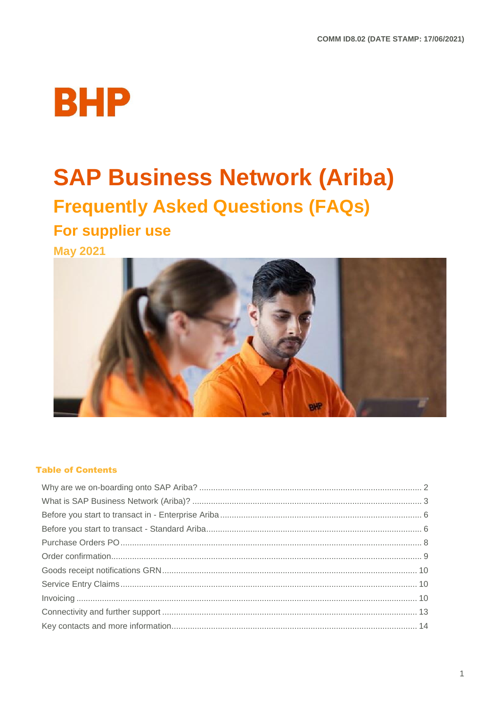

# **SAP Business Network (Ariba)**

# **Frequently Asked Questions (FAQs)**

## For supplier use

**May 2021** 



### **Table of Contents**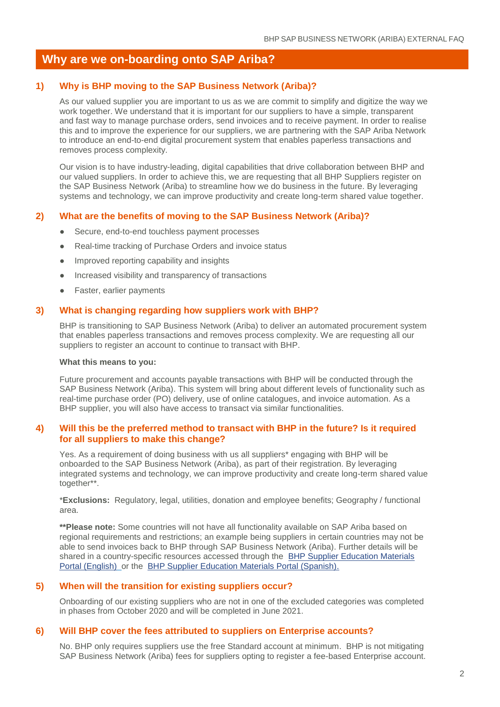### **Why are we on-boarding onto SAP Ariba?**

### **1) Why is BHP moving to the SAP Business Network (Ariba)?**

As our valued supplier you are important to us as we are commit to simplify and digitize the way we work together. We understand that it is important for our suppliers to have a simple, transparent and fast way to manage purchase orders, send invoices and to receive payment. In order to realise this and to improve the experience for our suppliers, we are partnering with the SAP Ariba Network to introduce an end-to-end digital procurement system that enables paperless transactions and removes process complexity.

Our vision is to have industry-leading, digital capabilities that drive collaboration between BHP and our valued suppliers. In order to achieve this, we are requesting that all BHP Suppliers register on the SAP Business Network (Ariba) to streamline how we do business in the future. By leveraging systems and technology, we can improve productivity and create long-term shared value together.

### **2) What are the benefits of moving to the SAP Business Network (Ariba)?**

- Secure, end-to-end touchless payment processes
- Real-time tracking of Purchase Orders and invoice status
- Improved reporting capability and insights
- Increased visibility and transparency of transactions
- Faster, earlier payments

### **3) What is changing regarding how suppliers work with BHP?**

BHP is transitioning to SAP Business Network (Ariba) to deliver an automated procurement system that enables paperless transactions and removes process complexity. We are requesting all our suppliers to register an account to continue to transact with BHP.

### **What this means to you:**

Future procurement and accounts payable transactions with BHP will be conducted through the SAP Business Network (Ariba). This system will bring about different levels of functionality such as real-time purchase order (PO) delivery, use of online catalogues, and invoice automation. As a BHP supplier, you will also have access to transact via similar functionalities.

### **4) Will this be the preferred method to transact with BHP in the future? Is it required for all suppliers to make this change?**

Yes. As a requirement of doing business with us all suppliers\* engaging with BHP will be onboarded to the SAP Business Network (Ariba), as part of their registration. By leveraging integrated systems and technology, we can improve productivity and create long-term shared value together\*\*.

\***Exclusions:** Regulatory, legal, utilities, donation and employee benefits; Geography / functional area.

**\*\*Please note:** Some countries will not have all functionality available on SAP Ariba based on regional requirements and restrictions; an example being suppliers in certain countries may not be able to send invoices back to BHP through SAP Business Network (Ariba). Further details will be shared in a country-specific resources accessed through the [BHP Supplier Education Materials](https://support.ariba.com/item/view/171401)  [Portal \(English\)](https://support.ariba.com/item/view/171401) or the [BHP Supplier Education Materials Portal \(Spanish\).](https://support.ariba.com/item/view/185718)

### **5) When will the transition for existing suppliers occur?**

Onboarding of our existing suppliers who are not in one of the excluded categories was completed in phases from October 2020 and will be completed in June 2021.

#### **6) Will BHP cover the fees attributed to suppliers on Enterprise accounts?**

No. BHP only requires suppliers use the free Standard account at minimum. BHP is not mitigating SAP Business Network (Ariba) fees for suppliers opting to register a fee-based Enterprise account.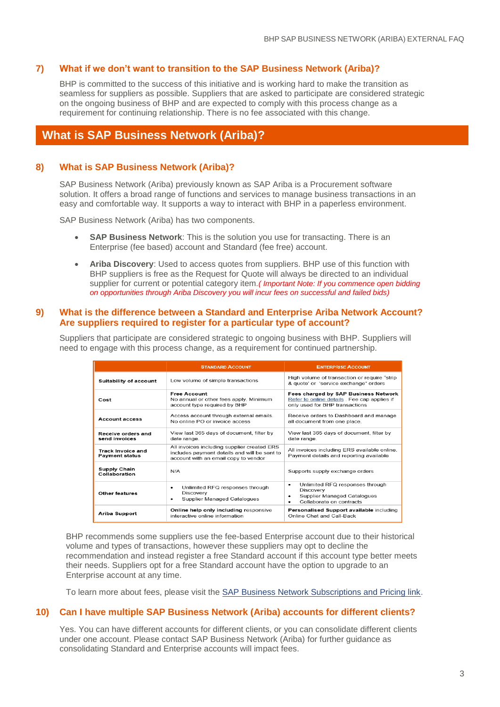### **7) What if we don't want to transition to the SAP Business Network (Ariba)?**

BHP is committed to the success of this initiative and is working hard to make the transition as seamless for suppliers as possible. Suppliers that are asked to participate are considered strategic on the ongoing business of BHP and are expected to comply with this process change as a requirement for continuing relationship. There is no fee associated with this change.

### **What is SAP Business Network (Ariba)?**

### **8) What is SAP Business Network (Ariba)?**

SAP Business Network (Ariba) previously known as SAP Ariba is a Procurement software solution. It offers a broad range of functions and services to manage business transactions in an easy and comfortable way. It supports a way to interact with BHP in a paperless environment.

SAP Business Network (Ariba) has two components.

- **SAP Business Network**: This is the solution you use for transacting. There is an Enterprise (fee based) account and Standard (fee free) account.
- **Ariba Discovery**: Used to access quotes from suppliers. BHP use of this function with BHP suppliers is free as the Request for Quote will always be directed to an individual supplier for current or potential category item*.( Important Note: If you commence open bidding on opportunities through Ariba Discovery you will incur fees on successful and failed bids)*

### **9) What is the difference between a Standard and Enterprise Ariba Network Account? Are suppliers required to register for a particular type of account?**

Suppliers that participate are considered strategic to ongoing business with BHP. Suppliers will need to engage with this process change, as a requirement for continued partnership.

|                                                   | <b>STANDARD ACCOUNT</b>                                                                                                             | <b>ENTERPRISE ACCOUNT</b>                                                                                                     |
|---------------------------------------------------|-------------------------------------------------------------------------------------------------------------------------------------|-------------------------------------------------------------------------------------------------------------------------------|
| <b>Suitability of account</b>                     | Low volume of simple transactions                                                                                                   | High volume of transaction or require "strip<br>& quote' or 'service exchange" orders                                         |
| Cost                                              | <b>Free Account</b><br>No annual or other fees apply. Minimum<br>account type required by BHP                                       | <b>Fees charged by SAP Business Network</b><br>Refer to online details . Fee cap applies if<br>only used for BHP transactions |
| <b>Account access</b>                             | Access account through external emails.<br>No online PO or invoice access                                                           | Receive orders to Dashboard and manage<br>all document from one place.                                                        |
| Receive orders and<br>send invoices               | View last 365 days of document, filter by<br>date range.                                                                            | View last 365 days of document, filter by<br>date range.                                                                      |
| <b>Track Invoice and</b><br><b>Payment status</b> | All invoices including supplier created ERS<br>includes payment details and will be sent to<br>account with an email copy to vendor | All invoices including ERS available online.<br>Payment details and reporting available                                       |
| <b>Supply Chain</b><br>Collaboration              | N/A                                                                                                                                 | Supports supply exchange orders                                                                                               |
| Other features                                    | Unlimited RFQ responses through<br>٠<br>Discovery<br>Supplier Managed Catalogues<br>٠                                               | Unlimited RFQ responses through<br>٠<br>Discovery<br>Supplier Managed Catalogues<br>٠<br>Collaborate on contracts<br>۰        |
| <b>Ariba Support</b>                              | Online help only including responsive<br>interactive online information                                                             | Personalised Support available including<br>Online Chat and Call-Back                                                         |

BHP recommends some suppliers use the fee-based Enterprise account due to their historical volume and types of transactions, however these suppliers may opt to decline the recommendation and instead register a free Standard account if this account type better meets their needs. Suppliers opt for a free Standard account have the option to upgrade to an Enterprise account at any time.

To learn more about fees, please visit the [SAP Business Network Subscriptions and Pricing link.](https://www.ariba.com/ariba-network/ariba-network-for-suppliers/subscriptions-and-pricing/ariba-network-faq)

### **10) Can I have multiple SAP Business Network (Ariba) accounts for different clients?**

Yes. You can have different accounts for different clients, or you can consolidate different clients under one account. Please contact SAP Business Network (Ariba) for further guidance as consolidating Standard and Enterprise accounts will impact fees.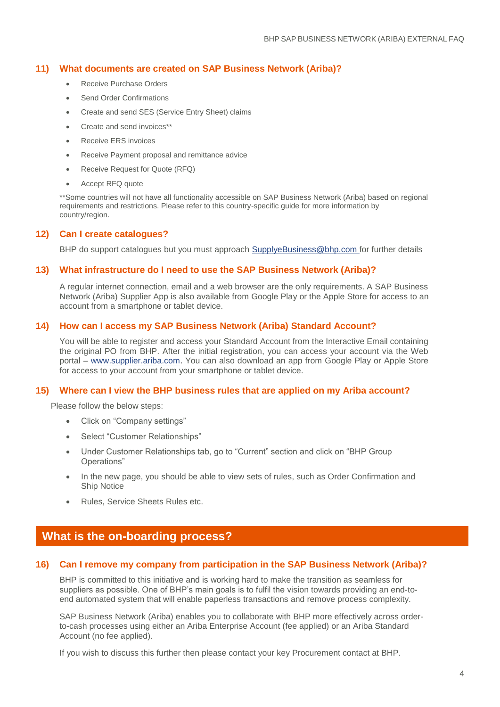### **11) What documents are created on SAP Business Network (Ariba)?**

- Receive Purchase Orders
- Send Order Confirmations
- Create and send SES (Service Entry Sheet) claims
- Create and send invoices\*\*
- Receive ERS invoices
- Receive Payment proposal and remittance advice
- Receive Request for Quote (RFQ)
- Accept RFQ quote

\*\*Some countries will not have all functionality accessible on SAP Business Network (Ariba) based on regional requirements and restrictions. Please refer to this country-specific guide for more information by country/region.

### **12) Can I create catalogues?**

BHP do support catalogues but you must approach [SupplyeBusiness@bhp.com](mailto:SupplyeBusiness@bhp.com) for further details

### **13) What infrastructure do I need to use the SAP Business Network (Ariba)?**

A regular internet connection, email and a web browser are the only requirements. A SAP Business Network (Ariba) Supplier App is also available from Google Play or the Apple Store for access to an account from a smartphone or tablet device.

### **14) How can I access my SAP Business Network (Ariba) Standard Account?**

You will be able to register and access your Standard Account from the Interactive Email containing the original PO from BHP. After the initial registration, you can access your account via the Web portal – [www.supplier.ariba.com.](http://www.supplier.ariba.com/) You can also download an app from Google Play or Apple Store for access to your account from your smartphone or tablet device.

### **15) Where can I view the BHP business rules that are applied on my Ariba account?**

Please follow the below steps:

- Click on "Company settings"
- Select "Customer Relationships"
- Under Customer Relationships tab, go to "Current" section and click on "BHP Group Operations"
- In the new page, you should be able to view sets of rules, such as Order Confirmation and Ship Notice
- Rules, Service Sheets Rules etc.

### **What is the on-boarding process?**

### **16) Can I remove my company from participation in the SAP Business Network (Ariba)?**

BHP is committed to this initiative and is working hard to make the transition as seamless for suppliers as possible. One of BHP's main goals is to fulfil the vision towards providing an end-toend automated system that will enable paperless transactions and remove process complexity.

SAP Business Network (Ariba) enables you to collaborate with BHP more effectively across orderto-cash processes using either an Ariba Enterprise Account (fee applied) or an Ariba Standard Account (no fee applied).

If you wish to discuss this further then please contact your key Procurement contact at BHP.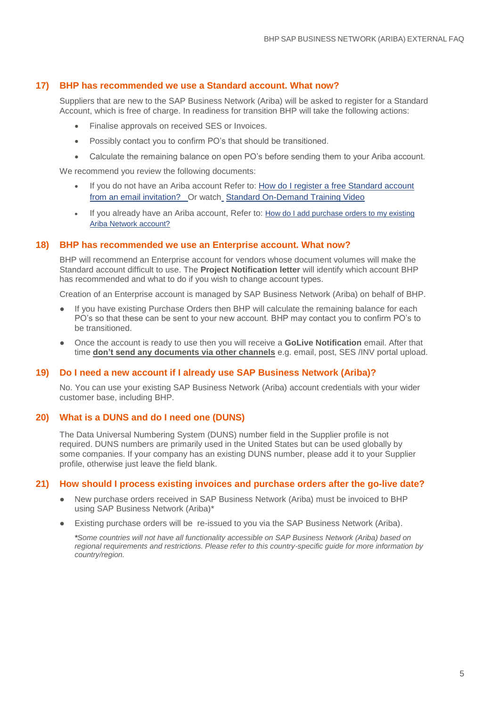### **17) BHP has recommended we use a Standard account. What now?**

Suppliers that are new to the SAP Business Network (Ariba) will be asked to register for a Standard Account, which is free of charge. In readiness for transition BHP will take the following actions:

- Finalise approvals on received SES or Invoices.
- Possibly contact you to confirm PO's that should be transitioned.
- Calculate the remaining balance on open PO's before sending them to your Ariba account.

We recommend you review the following documents:

- If you do not have an Ariba account Refer to: [How do I register a free Standard account](https://uex.ariba.com/auc/node/60146)  [from an email invitation?](https://uex.ariba.com/auc/node/60146)  Or watch\_[Standard On-Demand Training Video](https://urldefense.com/v3/__https:/support.ariba.com/item/view/193749__;!!DUKhw9QhGxNX!VKPoFxwHFavUuMhrW85MxjAm6D5hFBUJa6XjH1pD5AiELVg6bnMKKHOUQBNFlMWcpZU$)
- If you already have an Ariba account, Refer to: [How do I add purchase orders to my existing](https://uex.ariba.com/auc/node/60148)  [Ariba Network account?](https://uex.ariba.com/auc/node/60148)

#### **18) BHP has recommended we use an Enterprise account. What now?**

BHP will recommend an Enterprise account for vendors whose document volumes will make the Standard account difficult to use. The **Project Notification letter** will identify which account BHP has recommended and what to do if you wish to change account types.

Creation of an Enterprise account is managed by [SAP Business Network \(Ariba\) on behalf of BHP.](https://www.ariba.com/ariba-network/ariba-network-for-suppliers/subscriptions-and-pricing/ariba-network-faq) 

- If you have existing Purchase Orders then BHP will calculate the remaining balance for each PO's so that these can be sent to your new account. BHP may contact you to confirm PO's to be transitioned.
- Once the account is ready to use then you will receive a **GoLive Notification** email. After that time **don't send any documents via other channels** e.g. email, post, SES /INV portal upload.

### **19) Do I need a new account if I already use SAP Business Network (Ariba)?**

No. You can use your existing SAP Business Network (Ariba) account credentials with your wider customer base, including BHP.

### **20) What is a DUNS and do I need one (DUNS)**

The Data Universal Numbering System (DUNS) number field in the Supplier profile is not required. DUNS numbers are primarily used in the United States but can be used globally by some companies. If your company has an existing DUNS number, please add it to your Supplier profile, otherwise just leave the field blank.

#### **21) How should I process existing invoices and purchase orders after the go-live date?**

- New purchase orders received in SAP Business Network (Ariba) must be invoiced to BHP using SAP Business Network (Ariba)\*
- Existing purchase orders will be re-issued to you via the SAP Business Network (Ariba).

*\*Some countries will not have all functionality accessible on SAP Business Network (Ariba) based on regional requirements and restrictions. Please refer to this country-specific guide for more information by country/region.*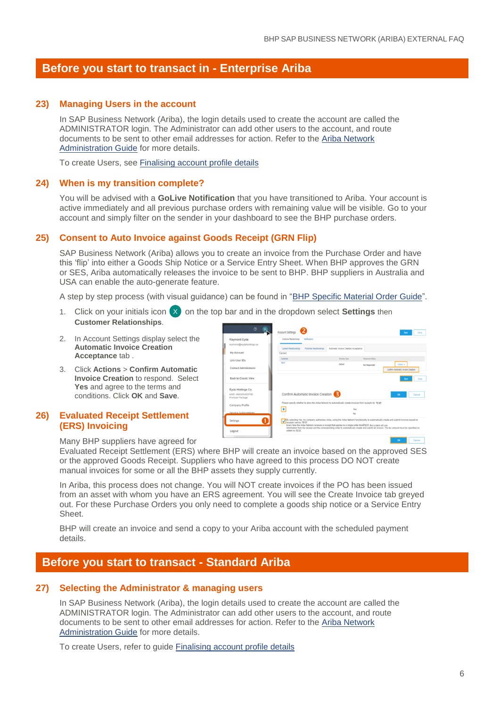### **22) Before you start to transact in - Enterprise Ariba**

### **23) Managing Users in the account**

In SAP Business Network (Ariba), the login details used to create the account are called the ADMINISTRATOR login. The Administrator can add other users to the account, and route documents to be sent to other email addresses for action. Refer to the [Ariba Network](https://support.ariba.com/item/view/168611)  [Administration Guide](https://support.ariba.com/item/view/168611) for more details.

To create Users, see [Finalising account profile details](#page-6-0)

### **24) When is my transition complete?**

You will be advised with a **GoLive Notification** that you have transitioned to Ariba. Your account is active immediately and all previous purchase orders with remaining value will be visible. Go to your account and simply filter on the sender in your dashboard to see the BHP purchase orders.

### <span id="page-5-0"></span>**25) Consent to Auto Invoice against Goods Receipt (GRN Flip)**

SAP Business Network (Ariba) allows you to create an invoice from the Purchase Order and have this 'flip' into either a Goods Ship Notice or a Service Entry Sheet. When BHP approves the GRN or SES, Ariba automatically releases the invoice to be sent to BHP. BHP suppliers in Australia and USA can enable the auto-generate feature.

A step by step process (with visual guidance) can be found in ["BHP Specific Material Order Guide"](https://support.ariba.com/item/view/177943).

- 1. Click on your initials icon (X) on the top bar and in the dropdown select **Settings** then **Customer Relationships**. X
- 2. In Account Settings display select the **Automatic Invoice Creation Acceptance** tab .
- 3. Click **Actions** > **Confirm Automatic Invoice Creation** to respond. Select **Yes** and agree to the terms and conditions. Click **OK** and **Save**.

### <span id="page-5-1"></span>**26) Evaluated Receipt Settlement (ERS) Invoicing**

| $\circledR$<br><b>EI</b>             | Account Settings             |                                    |                                                                                                               |                 | Seve<br>Close                                                                                                                                |
|--------------------------------------|------------------------------|------------------------------------|---------------------------------------------------------------------------------------------------------------|-----------------|----------------------------------------------------------------------------------------------------------------------------------------------|
| Raymond Eyda                         | Customer Relationships       | Neithrations                       |                                                                                                               |                 |                                                                                                                                              |
| raymond@eydaholdings.ca              |                              |                                    |                                                                                                               |                 |                                                                                                                                              |
|                                      | <b>Current Relationships</b> | <b>Potential Relationships</b>     | Automatic Invoice Creation Acceptance                                                                         |                 |                                                                                                                                              |
| My Account                           | Current                      |                                    |                                                                                                               |                 |                                                                                                                                              |
| Link User IDs                        | Customer                     |                                    | Routing Tipe                                                                                                  | Response Status |                                                                                                                                              |
|                                      | <b>TEST</b>                  |                                    | Default                                                                                                       | Not Responded   | Actons +                                                                                                                                     |
| Contact Administrator                |                              |                                    |                                                                                                               |                 | Confirm Automatic Invoice Creation                                                                                                           |
| <b>Back to Classic View</b>          |                              |                                    |                                                                                                               |                 |                                                                                                                                              |
| Eyda Holdings Co.                    |                              |                                    |                                                                                                               |                 |                                                                                                                                              |
| CRED/ANDIOSAR/GMA<br>Premium Package |                              | Confirm Automatic Invoice Creation |                                                                                                               |                 | OK<br>Cancel                                                                                                                                 |
| Company Profile                      |                              |                                    | Please specify whether to allow the Ariba Network to automatically create invoices from receipts for TEST     |                 |                                                                                                                                              |
|                                      |                              |                                    | Yes                                                                                                           |                 |                                                                                                                                              |
| Service Subscriptions                |                              |                                    | No                                                                                                            |                 |                                                                                                                                              |
| 1<br>Settings                        |                              |                                    | Every time the Ariba Network receives a receipt that applies to a single order from TEST, the system will use |                 | V By selecting Yes, my company authorizes Ariba, using the Ariba Network functionality, to automatically create and submit invoices based on |
| Logout                               | orders by TEST.              |                                    |                                                                                                               |                 | information from the receipt and the corresponding order to automatically create and submit an invoice. The tax amount must be specified on  |

Many BHP suppliers have agreed for

Evaluated Receipt Settlement (ERS) where BHP will create an invoice based on the approved SES or the approved Goods Receipt. Suppliers who have agreed to this process DO NOT create manual invoices for some or all the BHP assets they supply currently.

In Ariba, this process does not change. You will NOT create invoices if the PO has been issued from an asset with whom you have an ERS agreement. You will see the Create Invoice tab greyed out. For these Purchase Orders you only need to complete a goods ship notice or a Service Entry Sheet.

BHP will create an invoice and send a copy to your Ariba account with the scheduled payment details.

### **Before you start to transact - Standard Ariba**

#### **27) Selecting the Administrator & managing users**

In SAP Business Network (Ariba), the login details used to create the account are called the ADMINISTRATOR login. The Administrator can add other users to the account, and route documents to be sent to other email addresses for action. Refer to the [Ariba Network](https://support.ariba.com/item/view/168611)  [Administration Guide](https://support.ariba.com/item/view/168611) for more details.

To create Users, refer to guide [Finalising account profile details](#page-6-0)

Cancel 1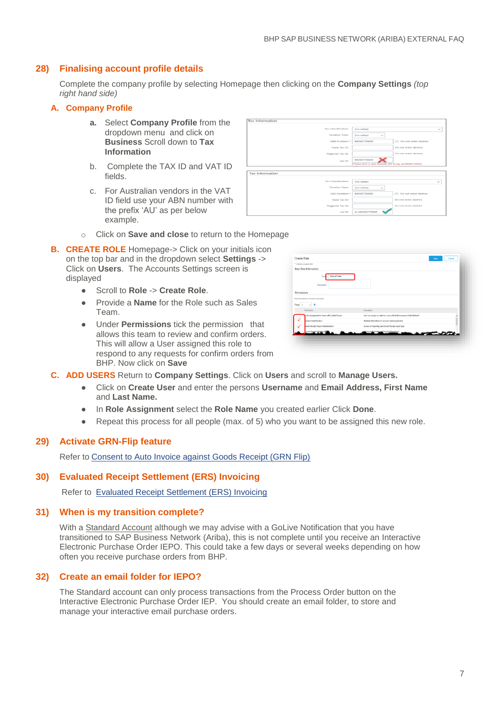### <span id="page-6-0"></span>**28) Finalising account profile details**

Complete the company profile by selecting Homepage then clicking on the **Company Settings** *(top right hand side)*

### **A. Company Profile**

- **a.** Select **Company Profile** from the dropdown menu and click on **Business** Scroll down to **Tax Information**
- b. Complete the TAX ID and VAT ID fields.
- c. For Australian vendors in the VAT ID field use your ABN number with the prefix 'AU' as per below example.



- o Click on **Save and close** to return to the Homepage
- **B. CREATE ROLE** Homepage-> Click on your initials icon on the top bar and in the dropdown select **Settings** -> Click on **Users**. The Accounts Settings screen is displayed
	- Scroll to **Role** -> **Create Role**.
	- Provide a **Name** for the Role such as Sales Team.
	- Under **Permissions** tick the permission that allows this team to review and confirm orders. This will allow a User assigned this role to respond to any requests for confirm orders from BHP. Now click on **Save**

| New Role Information                           |                                                                         |   |
|------------------------------------------------|-------------------------------------------------------------------------|---|
| Name - Inbound Team<br>Description:            |                                                                         |   |
| Permissions                                    |                                                                         |   |
| Each role must have at least one permission    |                                                                         |   |
| $\vee$ »<br>Page                               |                                                                         |   |
| Permission                                     | Description                                                             |   |
| Inder Assignment for Users with Limited Access | User can assign an order to a user with limited access to Ariba Network | Α |
| centact Administration                         | Maintain information for account contact personnel                      |   |
| cods Receipt Report Administration             | Access to Reporting, and Goods Receipt report type                      |   |
| voice Regart A                                 | acess to Reporting, and Invoice Report type                             |   |

- **C. ADD USERS** Return to **Company Settings**. Click on **Users** and scroll to **Manage Users.**
	- Click on **Create User** and enter the persons **Username** and **Email Address, First Name** and **Last Name.**
	- In **Role Assignment** select the **Role Name** you created earlier Click **Done**.
	- Repeat this process for all people (max. of 5) who you want to be assigned this new role.

### <span id="page-6-1"></span>**29) Activate GRN-Flip feature**

Refer to [Consent to Auto Invoice against Goods Receipt \(GRN Flip\)](#page-5-0)

### **30) Evaluated Receipt Settlement (ERS) Invoicing**

Refer to [Evaluated Receipt Settlement \(ERS\) Invoicing](#page-5-1) 

### **31) When is my transition complete?**

With a Standard Account although we may advise with a GoLive Notification that you have transitioned to SAP Business Network (Ariba), this is not complete until you receive an Interactive Electronic Purchase Order IEPO. This could take a few days or several weeks depending on how often you receive purchase orders from BHP.

### **32) Create an email folder for IEPO?**

The Standard account can only process transactions from the Process Order button on the Interactive Electronic Purchase Order IEP. You should create an email folder, to store and manage your interactive email purchase orders.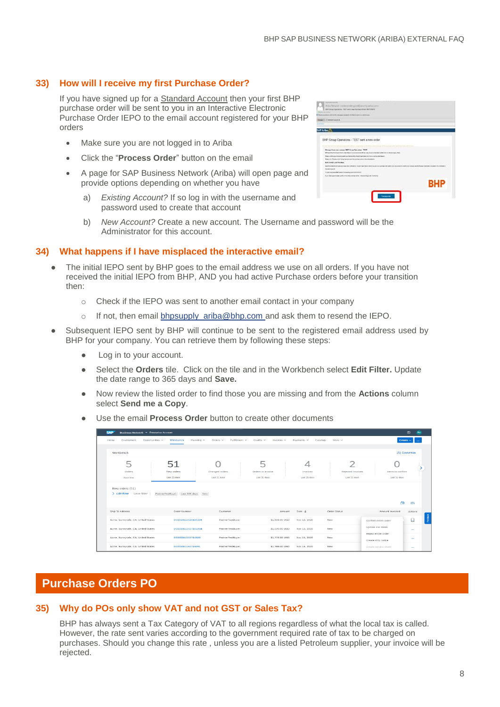### **33) How will I receive my first Purchase Order?**

If you have signed up for a Standard Account then your first BHP purchase order will be sent to you in an Interactive Electronic Purchase Order IEPO to the email account registered for your BHP orders

- Make sure you are not logged in to Ariba
- Click the "**Process Order**" button on the email
- A page for SAP Business Network (Ariba) will open page and provide options depending on whether you have
	- a) *Existing Account?* If so log in with the username and password used to create that account
	- b) *New Account?* Create a new account. The Username and password will be the Administrator for this account.

### **34) What happens if I have misplaced the interactive email?**

- The initial IEPO sent by BHP goes to the email address we use on all orders. If you have not received the initial IEPO from BHP, AND you had active Purchase orders before your transition then:
	- o Check if the IEPO was sent to another email contact in your company
	- o If not, then email bhpsupply ariba@bhp.com and ask them to resend the IEPO.
- Subsequent IEPO sent by BHP will continue to be sent to the registered email address used by BHP for your company. You can retrieve them by following these steps:
	- Log in to your account.
	- Select the **Orders** tile. Click on the tile and in the Workbench select **Edit Filter.** Update the date range to 365 days and **Save.**
	- Now review the listed order to find those you are missing and from the **Actions** column select **Send me a Copy**.
	- Use the email **Process Order** button to create other documents

|                                                | Business Network - Enterprise Account |                                |                                        |                               |                                   |                                           | $^{\circ}$<br>(RV                      |
|------------------------------------------------|---------------------------------------|--------------------------------|----------------------------------------|-------------------------------|-----------------------------------|-------------------------------------------|----------------------------------------|
| Enablement<br>Opportunities ~<br>Home          | Workbench<br>Planning $\sim$          | Orders $\sim$<br>Fulfillment ~ | Quality ~<br>Invoices ~                | Payments ~<br>Catalogs        | More $\sim$                       |                                           | Greate $\vee$                          |
| Workbench                                      |                                       |                                |                                        |                               |                                   |                                           | <b><i>S</i></b> <sup>2</sup> Customize |
| 5<br>Orders<br>Save filter                     | 51<br>New orders<br>Last 31 days      | Changed orders<br>Last 31 days | 5<br>Orders to invoice<br>Last 31 days | 4<br>Invoices<br>Lost 31 days | Rejected invoices<br>Last 31 days | Items to confirm<br>Last 31 days          |                                        |
| New orders (51)<br>> Edit filter   Save filter | PartnerTestBuyer<br>Last 365 days New |                                |                                        |                               |                                   |                                           |                                        |
|                                                |                                       |                                |                                        |                               |                                   | 価                                         | 395                                    |
| Ship To Address                                | Order Number                          | Customer                       | Amount                                 | Date J.                       | Order Status                      | Amount Invoiced                           | Actions                                |
| Acme, Sunnyvale, CA, United States             | DO2020111520185334                    | PartnerTestBuyer               | \$1,609.00 USD                         | Nov 15, 2020                  | New                               | Confirm entire order                      | Ω                                      |
| Acme, Sunnyvale, CA, United States             | DO2020111517105354                    | PartnerTestBuver               | \$1,576,00 USD                         | Nov 15, 2020                  | New                               | Update line items                         | And .                                  |
| Acme, Sunnyvale, CA, United States             | DO202011151714320                     | PartnerTestBuyer               | \$1,772.00 USD                         | Nov 15, 2020                  | New                               | Reject entire order<br>Create ship notice | <b>Service</b>                         |

### **Purchase Orders PO**

### **35) Why do POs only show VAT and not GST or Sales Tax?**

BHP has always sent a Tax Category of VAT to all regions regardless of what the local tax is called. However, the rate sent varies according to the government required rate of tax to be charged on purchases. Should you change this rate , unless you are a listed Petroleum supplier, your invoice will be rejected.

| <b>Little Company</b>                |                                                                                                                               |                                                                                |                                                                                                                                                                            |
|--------------------------------------|-------------------------------------------------------------------------------------------------------------------------------|--------------------------------------------------------------------------------|----------------------------------------------------------------------------------------------------------------------------------------------------------------------------|
| <b>SAP Ariba</b>                     |                                                                                                                               |                                                                                |                                                                                                                                                                            |
|                                      |                                                                                                                               |                                                                                |                                                                                                                                                                            |
|                                      | BHP Group Operations - TEST sent a new order                                                                                  |                                                                                |                                                                                                                                                                            |
|                                      |                                                                                                                               |                                                                                |                                                                                                                                                                            |
| Final Racina and difficul            |                                                                                                                               | and the accuration of Mines Economics of Countries with matter and information |                                                                                                                                                                            |
|                                      | Mongo Euskins values 907 three families. 1997                                                                                 |                                                                                |                                                                                                                                                                            |
|                                      | When the further than 10 miles and the term of the company of the company of the company of the company of the company of the |                                                                                |                                                                                                                                                                            |
|                                      | Real contributed sheries assistant latinshifts that if applicate the control and interest.                                    |                                                                                |                                                                                                                                                                            |
|                                      | Reported Process and Chicago and proceed this parties powers the single service.                                              |                                                                                |                                                                                                                                                                            |
| <b>BOWLKS AND GETT</b> LAND WALKERS. |                                                                                                                               |                                                                                |                                                                                                                                                                            |
|                                      |                                                                                                                               |                                                                                | NAME OF ANY OF A PARTNERS CONTINUES IN THE CONTINUES OF A STATE RESIDENCE AND RESIDENCE AND ASSESSED AND RELEASED FOR DRIVING CONTINUES. THE STATE OF A VEHICLE CONTINUES. |
| <b>Dear are looked</b>               |                                                                                                                               |                                                                                |                                                                                                                                                                            |
|                                      | To back does done land language for imaging our backrooking                                                                   |                                                                                |                                                                                                                                                                            |
|                                      | Function is a responsibilities for colorador in the function of the function                                                  |                                                                                |                                                                                                                                                                            |
|                                      |                                                                                                                               |                                                                                | <b>BHP</b>                                                                                                                                                                 |
|                                      |                                                                                                                               |                                                                                |                                                                                                                                                                            |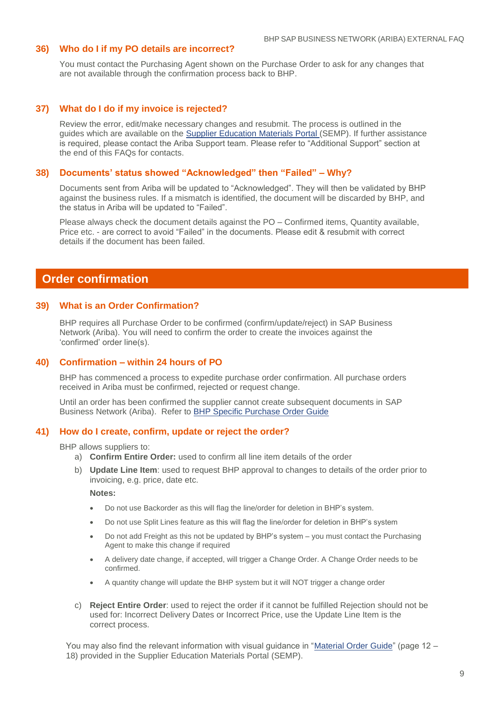### **36) Who do I if my PO details are incorrect?**

You must contact the Purchasing Agent shown on the Purchase Order to ask for any changes that are not available through the confirmation process back to BHP.

### **37) What do I do if my invoice is rejected?**

Review the error, edit/make necessary changes and resubmit. The process is outlined in the guides which are available on the [Supplier Education Materials Portal](https://support.ariba.com/item/view/171401) (SEMP). If further assistance is required, please contact the Ariba Support team. Please refer to "Additional Support" section at the end of this FAQs for contacts.

### **38) Documents' status showed "Acknowledged" then "Failed" – Why?**

Documents sent from Ariba will be updated to "Acknowledged". They will then be validated by BHP against the business rules. If a mismatch is identified, the document will be discarded by BHP, and the status in Ariba will be updated to "Failed".

Please always check the document details against the PO – Confirmed items, Quantity available, Price etc. - are correct to avoid "Failed" in the documents. Please edit & resubmit with correct details if the document has been failed.

### **Order confirmation**

#### **39) What is an Order Confirmation?**

BHP requires all Purchase Order to be confirmed (confirm/update/reject) in SAP Business Network (Ariba). You will need to confirm the order to create the invoices against the 'confirmed' order line(s).

### **40) Confirmation – within 24 hours of PO**

BHP has commenced a process to expedite purchase order confirmation. All purchase orders received in Ariba must be confirmed, rejected or request change.

Until an order has been confirmed the supplier cannot create subsequent documents in SAP Business Network (Ariba). Refer to [BHP Specific Purchase Order Guide](https://support.ariba.com/item/view/177943)

#### **41) How do I create, confirm, update or reject the order?**

BHP allows suppliers to:

- a) **Confirm Entire Order:** used to confirm all line item details of the order
- b) **Update Line Item**: used to request BHP approval to changes to details of the order prior to invoicing, e.g. price, date etc.

**Notes:** 

- Do not use Backorder as this will flag the line/order for deletion in BHP's system.
- Do not use Split Lines feature as this will flag the line/order for deletion in BHP's system
- Do not add Freight as this not be updated by BHP's system you must contact the Purchasing Agent to make this change if required
- A delivery date change, if accepted, will trigger a Change Order. A Change Order needs to be confirmed.
- A quantity change will update the BHP system but it will NOT trigger a change order
- c) **Reject Entire Order**: used to reject the order if it cannot be fulfilled Rejection should not be used for: Incorrect Delivery Dates or Incorrect Price, use the Update Line Item is the correct process.

You may also find the relevant information with visual guidance in ["Material Order Guide"](https://support.ariba.com/item/view/177943) (page 12 – 18) provided in the Supplier Education Materials Portal (SEMP).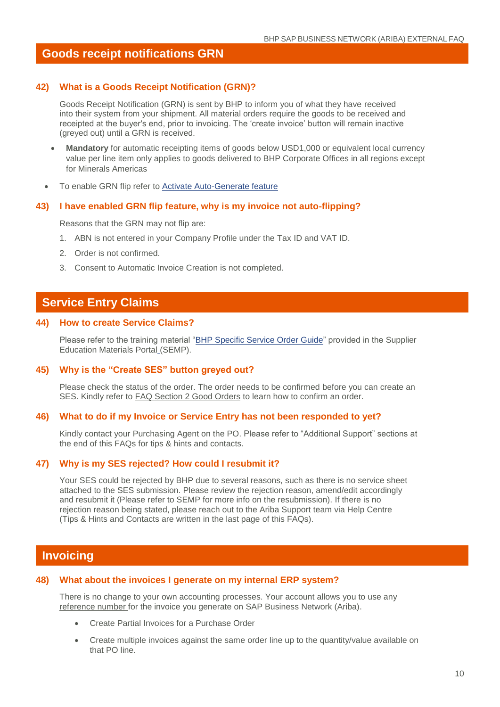### **Goods receipt notifications GRN**

### **42) What is a Goods Receipt Notification (GRN)?**

Goods Receipt Notification (GRN) is sent by BHP to inform you of what they have received into their system from your shipment. All material orders require the goods to be received and receipted at the buyer's end, prior to invoicing. The 'create invoice' button will remain inactive (greyed out) until a GRN is received.

- **Mandatory** for automatic receipting items of goods below USD1,000 or equivalent local currency value per line item only applies to goods delivered to BHP Corporate Offices in all regions except for Minerals Americas
- To enable GRN flip refer to **Activate Auto-Generate feature**

#### **43) I have enabled GRN flip feature, why is my invoice not auto-flipping?**

Reasons that the GRN may not flip are:

- 1. ABN is not entered in your Company Profile under the Tax ID and VAT ID.
- 2. Order is not confirmed.
- 3. Consent to Automatic Invoice Creation is not completed.

### **Service Entry Claims**

### **44) How to create Service Claims?**

Please refer to the training material ["BHP Specific Service Order Guide"](https://support.ariba.com/item/view/175113) provided in the Supplier Education Materials Portal (SEMP).

### **45) Why is the "Create SES" button greyed out?**

Please check the status of the order. The order needs to be confirmed before you can create an SES. Kindly refer to FAQ Section 2 Good Orders to learn how to confirm an order.

#### **46) What to do if my Invoice or Service Entry has not been responded to yet?**

Kindly contact your Purchasing Agent on the PO. Please refer to "Additional Support" sections at the end of this FAQs for tips & hints and contacts.

### **47) Why is my SES rejected? How could I resubmit it?**

Your SES could be rejected by BHP due to several reasons, such as there is no service sheet attached to the SES submission. Please review the rejection reason, amend/edit accordingly and resubmit it (Please refer to SEMP for more info on the resubmission). If there is no rejection reason being stated, please reach out to the Ariba Support team via Help Centre (Tips & Hints and Contacts are written in the last page of this FAQs).

### **Invoicing**

#### **48) What about the invoices I generate on my internal ERP system?**

There is no change to your own accounting processes. Your account allows you to use any reference number for the invoice you generate on SAP Business Network (Ariba).

- Create Partial Invoices for a Purchase Order
- Create multiple invoices against the same order line up to the quantity/value available on that PO line.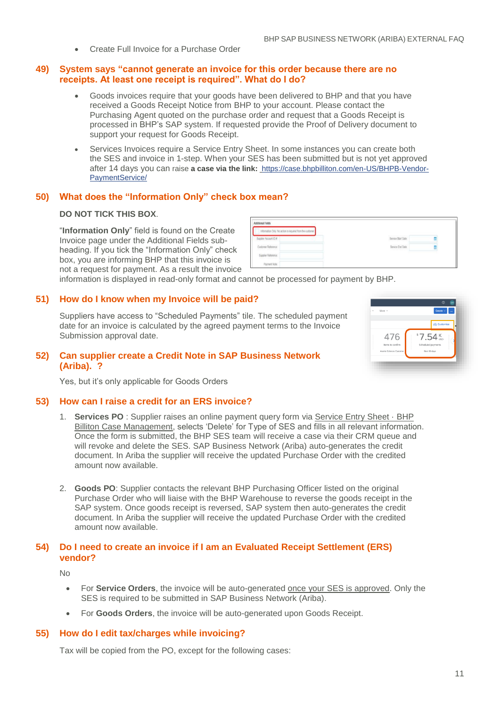Create Full Invoice for a Purchase Order

### **49) System says "cannot generate an invoice for this order because there are no receipts. At least one receipt is required". What do I do?**

- Goods invoices require that your goods have been delivered to BHP and that you have received a Goods Receipt Notice from BHP to your account. Please contact the Purchasing Agent quoted on the purchase order and request that a Goods Receipt is processed in BHP's SAP system. If requested provide the Proof of Delivery document to support your request for Goods Receipt.
- Services Invoices require a Service Entry Sheet. In some instances you can create both the SES and invoice in 1-step. When your SES has been submitted but is not yet approved after 14 days you can raise **a case via the link:** [https://case.bhpbilliton.com/en-US/BHPB-Vendor-](https://case.bhpbilliton.com/en-US/BHPB-Vendor-PaymentService/)[PaymentService/](https://case.bhpbilliton.com/en-US/BHPB-Vendor-PaymentService/)

### **50) What does the "Information Only" check box mean?**

### **DO NOT TICK THIS BOX**.

"**Information Only**" field is found on the Create Invoice page under the Additional Fields subheading. If you tick the "Information Only" check box, you are informing BHP that this invoice is not a request for payment. As a result the invoice

| Information Only. No action is required from the customer. |                                      |  |
|------------------------------------------------------------|--------------------------------------|--|
| Supplier Account ID #.                                     | きょうようさい しいじょう<br>Service Start Date: |  |
| Customer Reference<br>12. SEN 7 TAG 7 7 DA                 | Service End Date:                    |  |
| Supplier Reference:<br>a ser                               |                                      |  |
| Payment Note:                                              |                                      |  |

information is displayed in read-only format and cannot be processed for payment by BHP.

### **51) How do I know when my Invoice will be paid?**

Suppliers have access to "Scheduled Payments" tile. The scheduled payment date for an invoice is calculated by the agreed payment terms to the Invoice Submission approval date.

| $\sim$ | More ~ <                 | Create $\sim$<br>         |
|--------|--------------------------|---------------------------|
|        |                          | <b><i>S</i></b> Customize |
|        | 476                      | $87.54$ Ksp               |
|        | Items to confirm         | Scheduled payments        |
|        | Avante Sciences Customer | Next 90 days              |

### **52) Can supplier create a Credit Note in SAP Business Network (Ariba). ?**

Yes, but it's only applicable for Goods Orders

### **53) How can I raise a credit for an ERS invoice?**

- 1. **Services PO** : Supplier raises an online payment query form via [Service Entry Sheet](https://case.bhpbilliton.com/en-US/BHPB-Vendor-ServiceEntrySheet/) · BHP [Billiton Case Management,](https://case.bhpbilliton.com/en-US/BHPB-Vendor-ServiceEntrySheet/) selects 'Delete' for Type of SES and fills in all relevant information. Once the form is submitted, the BHP SES team will receive a case via their CRM queue and will revoke and delete the SES. SAP Business Network (Ariba) auto-generates the credit document. In Ariba the supplier will receive the updated Purchase Order with the credited amount now available.
- 2. **Goods PO**: Supplier contacts the relevant BHP Purchasing Officer listed on the original Purchase Order who will liaise with the BHP Warehouse to reverse the goods receipt in the SAP system. Once goods receipt is reversed, SAP system then auto-generates the credit document. In Ariba the supplier will receive the updated Purchase Order with the credited amount now available.

### **54) Do I need to create an invoice if I am an Evaluated Receipt Settlement (ERS) vendor?**

No

- For **Service Orders**, the invoice will be auto-generated once your SES is approved. Only the SES is required to be submitted in SAP Business Network (Ariba).
- For **Goods Orders**, the invoice will be auto-generated upon Goods Receipt.

### **55) How do I edit tax/charges while invoicing?**

Tax will be copied from the PO, except for the following cases: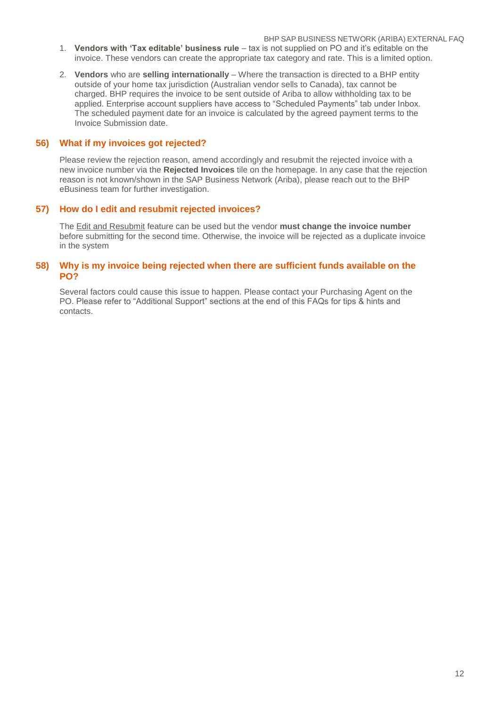BHP SAP BUSINESS NETWORK (ARIBA) EXTERNAL FAQ

- 1. **Vendors with 'Tax editable' business rule**  tax is not supplied on PO and it's editable on the invoice. These vendors can create the appropriate tax category and rate. This is a limited option.
- 2. **Vendors** who are **selling internationally**  Where the transaction is directed to a BHP entity outside of your home tax jurisdiction (Australian vendor sells to Canada), tax cannot be charged. BHP requires the invoice to be sent outside of Ariba to allow withholding tax to be applied. Enterprise account suppliers have access to "Scheduled Payments" tab under Inbox. The scheduled payment date for an invoice is calculated by the agreed payment terms to the Invoice Submission date.

### **56) What if my invoices got rejected?**

Please review the rejection reason, amend accordingly and resubmit the rejected invoice with a new invoice number via the **Rejected Invoices** tile on the homepage. In any case that the rejection reason is not known/shown in the SAP Business Network (Ariba), please reach out to the BHP eBusiness team for further investigation.

### **57) How do I edit and resubmit rejected invoices?**

The Edit and Resubmit feature can be used but the vendor **must change the invoice number** before submitting for the second time. Otherwise, the invoice will be rejected as a duplicate invoice in the system

### **58) Why is my invoice being rejected when there are sufficient funds available on the PO?**

Several factors could cause this issue to happen. Please contact your Purchasing Agent on the PO. Please refer to "Additional Support" sections at the end of this FAQs for tips & hints and contacts.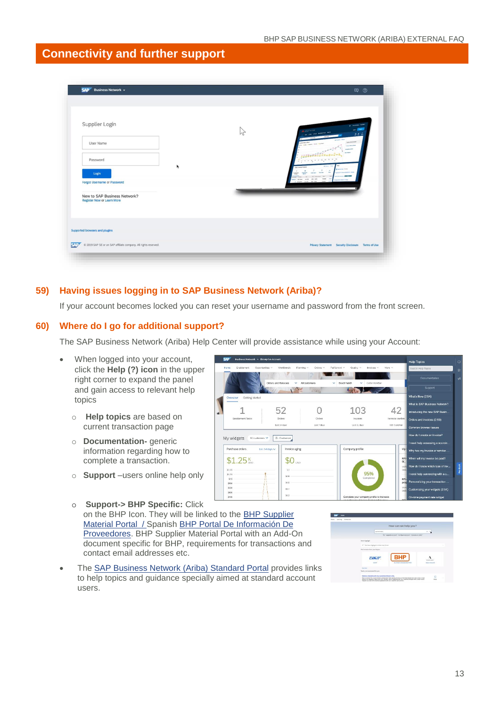### **Connectivity and further support**

| $SAP$ Business Network $\sim$                                                                           | $\nabla$                                               |  |
|---------------------------------------------------------------------------------------------------------|--------------------------------------------------------|--|
| Supplier Login<br>User Name                                                                             | <b>ALAMADO</b><br>パ<br>222<br>photo Service Council    |  |
| Password<br>Login                                                                                       | <b>CONTRACTOR</b><br><b>CONTRACTOR</b><br><b>State</b> |  |
| <b>Forgot Username or Password</b><br>New to SAP Business Network?<br><b>Register Now or Learn More</b> |                                                        |  |
| Supported browsers and plugins                                                                          |                                                        |  |
| C 2019 SAP SE or an SAP affiliate company. All rights reserved.                                         | Privacy Statement Security Disclosure Terms of Use     |  |

### **59) Having issues logging in to SAP Business Network (Ariba)?**

If your account becomes locked you can reset your username and password from the front screen.

### **60) Where do I go for additional support?**

The SAP Business Network (Ariba) Help Center will provide assistance while using your Account:

1

My widgets All custo Purchase orders

\$1.25<sup>K</sup>

- When logged into your account, click the **Help (?) icon** in the upper right corner to expand the panel and gain access to relevant help topics
	- o **Help topics** are based on current transaction page
	- o **Documentation-** generic information regarding how to complete a transaction.
	- o **Support** –users online help only
	- o **Support-> BHP Specific:** Click on the BHP Icon. They will be linked to the **BHP Supplier** [Material Portal](https://support.ariba.com/item/view/171401) / Spanish [BHP Portal De Información De](https://support.ariba.com/item/view/192115)  [Proveedores.](https://support.ariba.com/item/view/192115) BHP Supplier Material Portal with an Add-On document specific for BHP, requirements for transactions and contact email addresses etc.
- The [SAP Business Network \(Ariba\)](https://support.ariba.com/item/view/183459) Standard Portal provides links to help topics and guidance specially aimed at standard account users.



42

tems to co.

 $\mathbf{L}$ 

103

Invoices<br>Lest 31 days

 $\Omega$ 

Orders

52

Orders

 $\cos \theta$   $\theta$   $\cos \theta$ 

Invoice aging

 $$0<sub>050</sub>$  $\rm 31$  $rac{1}{50.8}$  $\overline{\text{sat}}$  $80.8$ 

Last 14 days x